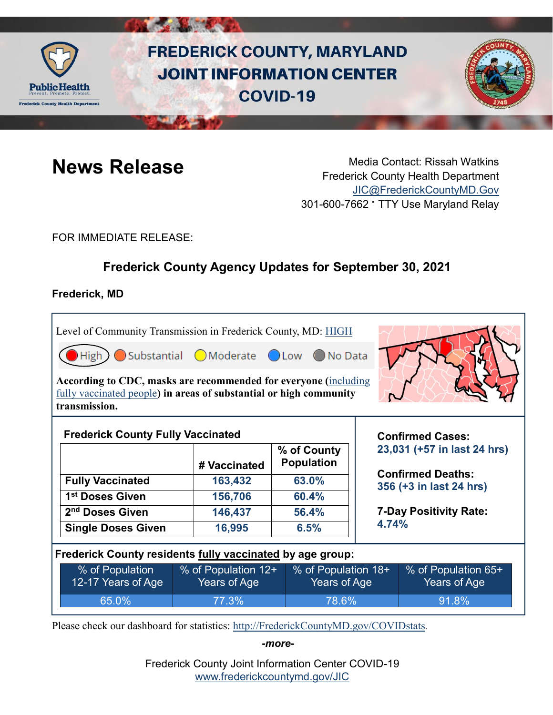

# **FREDERICK COUNTY, MARYLAND JOINT INFORMATION CENTER COVID-19**



**News Release** Media Contact: Rissah Watkins Frederick County Health Department [JIC@FrederickCountyMD.Gov](mailto:JIC@FrederickCountyMD.Gov) 301-600-7662 • TTY Use Maryland Relay

FOR IMMEDIATE RELEASE:

# **Frederick County Agency Updates for September 30, 2021**

# **Frederick, MD**

Level of Community Transmission in Frederick County, MD: [HIGH](https://covid.cdc.gov/covid-data-tracker/#county-view)  $\Box$ High  $\Box$  Substantial  $\Box$  Moderate  $\Box$  Low ◯ No Data **According to CDC, masks are recommended for everyone (**[including](https://www.cdc.gov/coronavirus/2019-ncov/vaccines/fully-vaccinated-guidance.html) 

[fully vaccinated people](https://www.cdc.gov/coronavirus/2019-ncov/vaccines/fully-vaccinated-guidance.html)**) in areas of substantial or high community transmission.** 

|                             | # Vaccinated | % of County<br><b>Population</b> |
|-----------------------------|--------------|----------------------------------|
| <b>Fully Vaccinated</b>     | 163,432      | 63.0%                            |
| 1 <sup>st</sup> Doses Given | 156,706      | 60.4%                            |
| 2 <sup>nd</sup> Doses Given | 146,437      | 56.4%                            |
| <b>Single Doses Given</b>   | 16,995       | 6.5%                             |

**Confirmed Cases: 23,031 (+57 in last 24 hrs)**

**Confirmed Deaths: 356 (+3 in last 24 hrs)**

**7-Day Positivity Rate: 4.74%**

**Frederick County residents fully vaccinated by age group:**

| % of Population    | ↓% of Population 12+ | % of Population 18+       | % of Population 65+ |
|--------------------|----------------------|---------------------------|---------------------|
| 12-17 Years of Age | Years of Age         | Years of Age <sup>1</sup> | Years of Age        |
| 65.0%              | 77.3%                | 78.6%                     | 91.8%               |

Please check our dashboard for statistics: [http://FrederickCountyMD.gov/COVIDstats.](http://frederickcountymd.gov/COVIDstats)

*-more-*

Frederick County Joint Information Center COVID-19 [www.frederickcountymd.gov/JIC](https://frederickcountymd.gov/JIC)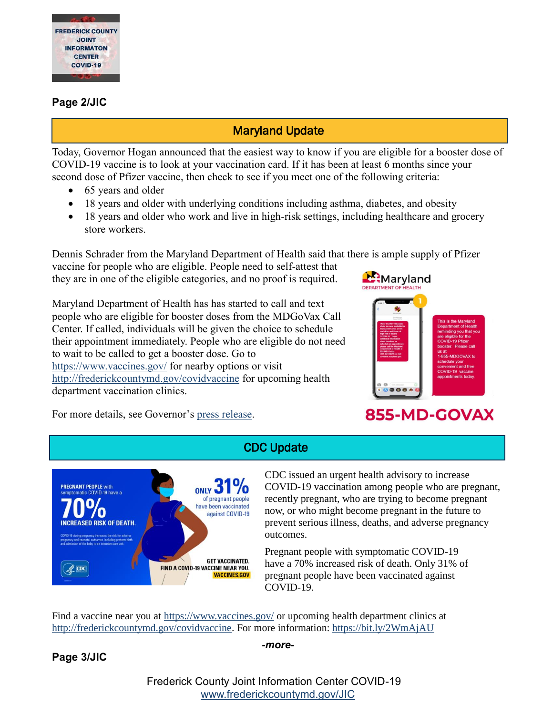

# **Page 2/JIC**

# Maryland Update

Today, Governor Hogan announced that the easiest way to know if you are eligible for a booster dose of COVID-19 vaccine is to look at your vaccination card. If it has been at least 6 months since your

- second dose of Pfizer vaccine, then check to see if you meet one of the following criteria:
	- 65 years and older
	- 18 years and older with underlying conditions including asthma, diabetes, and obesity
	- 18 years and older who work and live in high-risk settings, including healthcare and grocery store workers.

Dennis Schrader from the Maryland Department of Health said that there is ample supply of Pfizer

vaccine for people who are eligible. People need to self-attest that they are in one of the eligible categories, and no proof is required.

Maryland Department of Health has has started to call and text people who are eligible for booster doses from the MDGoVax Call Center. If called, individuals will be given the choice to schedule their appointment immediately. People who are eligible do not need to wait to be called to get a booster dose. Go to <https://www.vaccines.gov/> for nearby options or visit <http://frederickcountymd.gov/covidvaccine> for upcoming health department vaccination clinics.



# For more details, see Governor's [press release.](https://governor.maryland.gov/2021/09/30/get-a-boost-governor-hogan-encourages-eligible-marylanders-to-get-a-covid-19-booster-shot-details-outreach-efforts/)

# 855-MD-GOVAX

# CDC Update



CDC issued an urgent health advisory to increase COVID-19 vaccination among people who are pregnant, recently pregnant, who are trying to become pregnant now, or who might become pregnant in the future to prevent serious illness, deaths, and adverse pregnancy outcomes.

Pregnant people with symptomatic COVID-19 have a 70% increased risk of death. Only 31% of pregnant people have been vaccinated against COVID-19.

Find a vaccine near you at [https://www.vaccines.gov/](https://l.facebook.com/l.php?u=https%3A%2F%2Fwww.vaccines.gov%2F%3Ffbclid%3DIwAR3wFN7XIbfsLaRFm1zScz1Bhvsl80DjyPwJRbUoU70xMR7wlQVaxUyQCds&h=AT3NwiWBG2Mf6itdbSuOHSwok9ouCqsZXfr4CE5jWC4zGixj1ztNB3D-28cBazNCV-eageSDtRNjA1E8aXhERNH9KBfyhndzFePLr-6luTJLl01y_Q9fHm-yWT-0Gi9Qkg&__tn__=-UK-R&c%5b0%5d=AT3zmJoIl8BGMnvfbxYvxJHwcPBuowPU4HXbz-TFm57ofMSK5MxWhUJx3PBlETElB7Vi21nzYZzydiVyEBjfPFJrVyr_-T8maBDmtmLrGTOPyCRFtfaHY1FhAwJWeS3s8I7MqASYJjFeg_RGlEzLW6u1o6G3KO7jpDN_zILPJOSPyw6adXkiJqW4WJSElsZILhmPQQ) or upcoming health department clinics at [http://frederickcountymd.gov/covidvaccine.](http://frederickcountymd.gov/covidvaccine?fbclid=IwAR2aDsUeL9f7iq53ucp6BlZjCiSDYANq5Lm0BWVjTzvXUdovoW-7HsLCB0w) For more information: [https://bit.ly/2WmAjAU](https://bit.ly/2WmAjAU?fbclid=IwAR1_obQ4q184nGzLF_RDXcg6_PK1mEYtw-wpqJFd_vnA477pxtWLvXSPU2I)

# **Page 3/JIC**

### *-more-*

Frederick County Joint Information Center COVID-19 [www.frederickcountymd.gov/JIC](https://frederickcountymd.gov/JIC)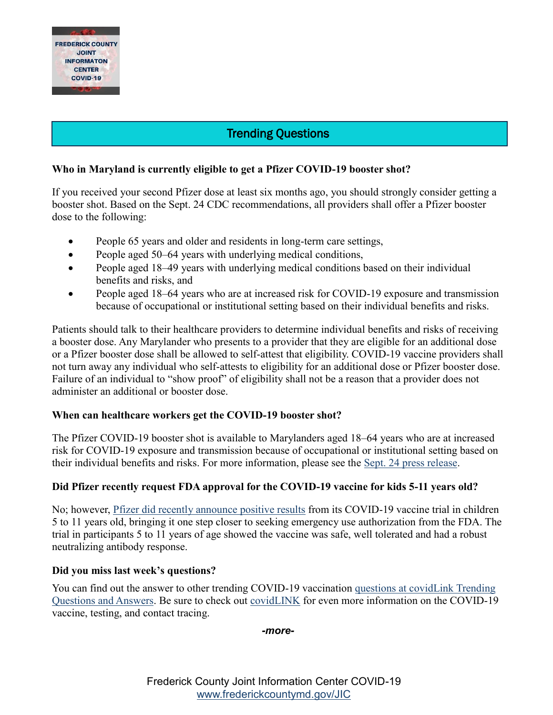

# Trending Questions

# **Who in Maryland is currently eligible to get a Pfizer COVID-19 booster shot?**

If you received your second Pfizer dose at least six months ago, you should strongly consider getting a booster shot. Based on the Sept. 24 CDC recommendations, all providers shall offer a Pfizer booster dose to the following:

- People 65 years and older and residents in long-term care settings,
- People aged 50–64 years with underlying medical conditions,
- People aged 18–49 years with underlying medical conditions based on their individual benefits and risks, and
- People aged 18–64 years who are at increased risk for COVID-19 exposure and transmission because of occupational or institutional setting based on their individual benefits and risks.

Patients should talk to their healthcare providers to determine individual benefits and risks of receiving a booster dose. Any Marylander who presents to a provider that they are eligible for an additional dose or a Pfizer booster dose shall be allowed to self-attest that eligibility. COVID-19 vaccine providers shall not turn away any individual who self-attests to eligibility for an additional dose or Pfizer booster dose. Failure of an individual to "show proof" of eligibility shall not be a reason that a provider does not administer an additional or booster dose.

## **When can healthcare workers get the COVID-19 booster shot?**

The Pfizer COVID-19 booster shot is available to Marylanders aged 18–64 years who are at increased risk for COVID-19 exposure and transmission because of occupational or institutional setting based on their individual benefits and risks. For more information, please see the [Sept. 24 press release.](https://urldefense.com/v3/__https:/governor.maryland.gov/2021/09/24/governor-hogan-announces-immediate-authorization-of-covid-19-booster-shots-for-marylanders/__;!!I2-OFBIJoQBJqqeup9g!UZG5WgiLFXoU2X7A1TsLGaP4opThBcoMvL4gty5SPiyEKcJNeYwBd5vc1sLP0PK7HOOIAEnXomA$)

# **Did Pfizer recently request FDA approval for the COVID-19 vaccine for kids 5-11 years old?**

No; however, [Pfizer did recently announce positive results](https://urldefense.com/v3/__https:/www.pfizer.com/news/press-release/press-release-detail/pfizer-and-biontech-announce-positive-topline-results__;!!I2-OFBIJoQBJqqeup9g!UZG5WgiLFXoU2X7A1TsLGaP4opThBcoMvL4gty5SPiyEKcJNeYwBd5vc1sLP0PK7HOOILWb0GmE$) from its COVID-19 vaccine trial in children 5 to 11 years old, bringing it one step closer to seeking emergency use authorization from the FDA. The trial in participants 5 to 11 years of age showed the vaccine was safe, well tolerated and had a robust neutralizing antibody response.

## **Did you miss last week's questions?**

You can find out the answer to other trending COVID-19 vaccination [questions at covidLink Trending](https://covidlink.maryland.gov/content/faqs/#trending)  [Questions and Answers.](https://covidlink.maryland.gov/content/faqs/#trending) Be sure to check out [covidLINK](https://covidlink.maryland.gov/content/) for even more information on the COVID-19 vaccine, testing, and contact tracing.

*-more-*